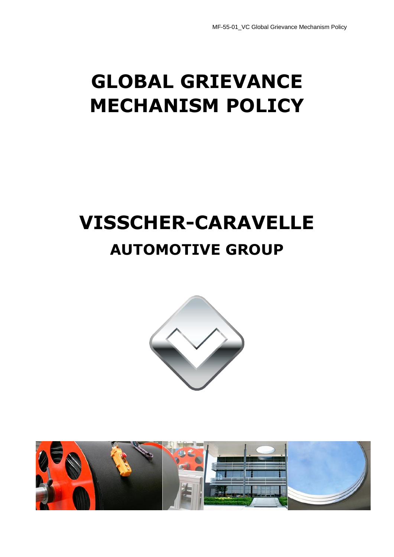# **GLOBAL GRIEVANCE MECHANISM POLICY**

# **VISSCHER-CARAVELLE AUTOMOTIVE GROUP**



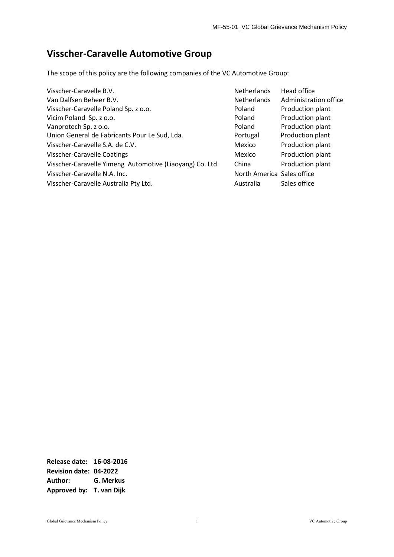## **Visscher-Caravelle Automotive Group**

The scope of this policy are the following companies of the VC Automotive Group:

| Visscher-Caravelle B.V.                                  | <b>Netherlands</b>         | Head office           |
|----------------------------------------------------------|----------------------------|-----------------------|
| Van Dalfsen Beheer B.V.                                  | <b>Netherlands</b>         | Administration office |
| Visscher-Caravelle Poland Sp. z o.o.                     | Poland                     | Production plant      |
| Vicim Poland Sp. z o.o.                                  | Poland                     | Production plant      |
| Vanprotech Sp. z o.o.                                    | Poland                     | Production plant      |
| Union General de Fabricants Pour Le Sud, Lda.            | Portugal                   | Production plant      |
| Visscher-Caravelle S.A. de C.V.                          | Mexico                     | Production plant      |
| Visscher-Caravelle Coatings                              | Mexico                     | Production plant      |
| Visscher-Caravelle Yimeng Automotive (Liaoyang) Co. Ltd. | China                      | Production plant      |
| Visscher-Caravelle N.A. Inc.                             | North America Sales office |                       |
| Visscher-Caravelle Australia Pty Ltd.                    | Australia                  | Sales office          |

**Release date: 16-08-2016 Revision date: 04-2022 Author: G. Merkus Approved by: T. van Dijk**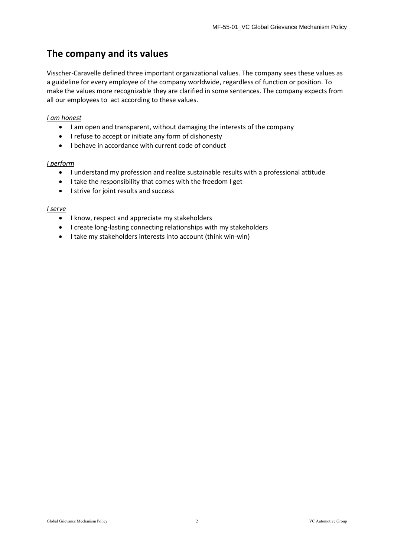## **The company and its values**

Visscher-Caravelle defined three important organizational values. The company sees these values as a guideline for every employee of the company worldwide, regardless of function or position. To make the values more recognizable they are clarified in some sentences. The company expects from all our employees to act according to these values.

#### *I am honest*

- I am open and transparent, without damaging the interests of the company
- I refuse to accept or initiate any form of dishonesty
- I behave in accordance with current code of conduct

#### *I perform*

- I understand my profession and realize sustainable results with a professional attitude
- I take the responsibility that comes with the freedom I get
- I strive for joint results and success

#### *I serve*

- I know, respect and appreciate my stakeholders
- I create long-lasting connecting relationships with my stakeholders
- I take my stakeholders interests into account (think win-win)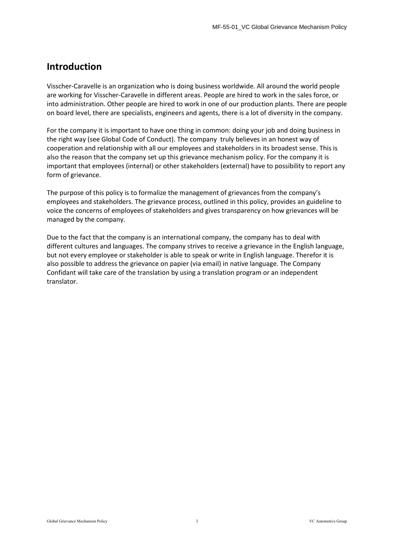## **Introduction**

Visscher-Caravelle is an organization who is doing business worldwide. All around the world people are working for Visscher-Caravelle in different areas. People are hired to work in the sales force, or into administration. Other people are hired to work in one of our production plants. There are people on board level, there are specialists, engineers and agents, there is a lot of diversity in the company.

For the company it is important to have one thing in common: doing your job and doing business in the right way (see Global Code of Conduct). The company truly believes in an honest way of cooperation and relationship with all our employees and stakeholders in its broadest sense. This is also the reason that the company set up this grievance mechanism policy. For the company it is important that employees (internal) or other stakeholders (external) have to possibility to report any form of grievance.

The purpose of this policy is to formalize the management of grievances from the company's employees and stakeholders. The grievance process, outlined in this policy, provides an guideline to voice the concerns of employees of stakeholders and gives transparency on how grievances will be managed by the company.

Due to the fact that the company is an international company, the company has to deal with different cultures and languages. The company strives to receive a grievance in the English language, but not every employee or stakeholder is able to speak or write in English language. Therefor it is also possible to address the grievance on papier (via email) in native language. The Company Confidant will take care of the translation by using a translation program or an independent translator.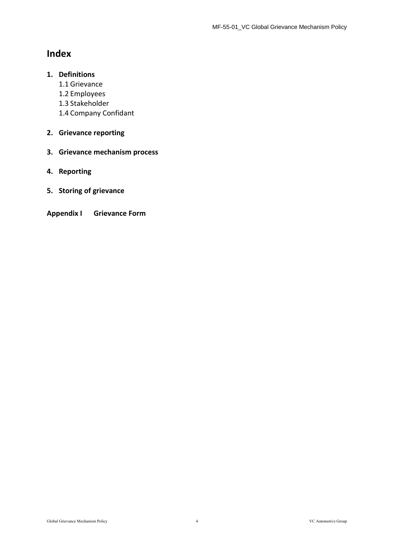## **Index**

### **1. Definitions**

- 1.1 Grievance
- 1.2 Employees
- 1.3 Stakeholder
- 1.4 Company Confidant

### **2. Grievance reporting**

- **3. Grievance mechanism process**
- **4. Reporting**
- **5. Storing of grievance**
- **Appendix I Grievance Form**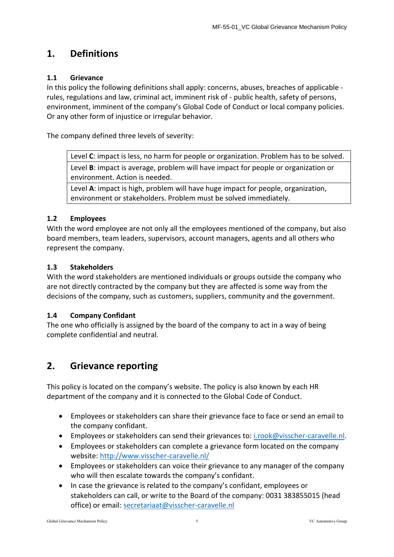## **1. Definitions**

#### **1.1 Grievance**

In this policy the following definitions shall apply: concerns, abuses, breaches of applicable rules, regulations and law, criminal act, imminent risk of - public health, safety of persons, environment, imminent of the company's Global Code of Conduct or local company policies. Or any other form of injustice or irregular behavior.

The company defined three levels of severity:

Level **C**: impact is less, no harm for people or organization. Problem has to be solved. Level **B**: impact is average, problem will have impact for people or organization or environment. Action is needed.

Level **A**: impact is high, problem will have huge impact for people, organization, environment or stakeholders. Problem must be solved immediately.

#### **1.2 Employees**

With the word employee are not only all the employees mentioned of the company, but also board members, team leaders, supervisors, account managers, agents and all others who represent the company.

#### **1.3 Stakeholders**

With the word stakeholders are mentioned individuals or groups outside the company who are not directly contracted by the company but they are affected is some way from the decisions of the company, such as customers, suppliers, community and the government.

#### **1.4 Company Confidant**

The one who officially is assigned by the board of the company to act in a way of being complete confidential and neutral.

## **2. Grievance reporting**

This policy is located on the company's website. The policy is also known by each HR department of the company and it is connected to the Global Code of Conduct.

- Employees or stakeholders can share their grievance face to face or send an email to the company confidant.
- Employees or stakeholders can send their grievances to: [i.rook@visscher-caravelle.nl.](mailto:i.rook@visscher-caravelle.nl)
- Employees or stakeholders can complete a grievance form located on the company website:<http://www.visscher-caravelle.nl/>
- Employees or stakeholders can voice their grievance to any manager of the company who will then escalate towards the company's confidant.
- In case the grievance is related to the company's confidant, employees or stakeholders can call, or write to the Board of the company: 0031 383855015 (head office) or email: [secretariaat@visscher-caravelle.nl](mailto:secretariaat@visscher-caravelle.nl)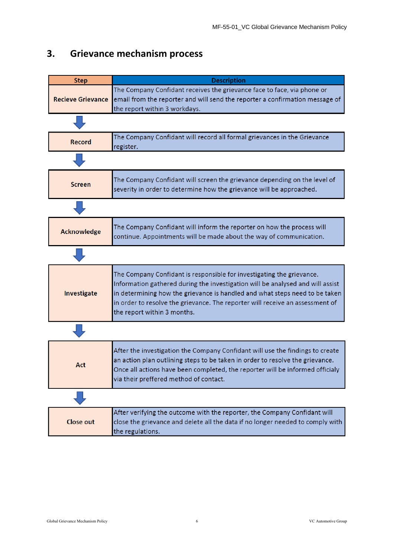| <b>Step</b>              | <b>Description</b>                                                                                                                                                                                                                                                                                                                                     |
|--------------------------|--------------------------------------------------------------------------------------------------------------------------------------------------------------------------------------------------------------------------------------------------------------------------------------------------------------------------------------------------------|
| <b>Recieve Grievance</b> | The Company Confidant receives the grievance face to face, via phone or<br>email from the reporter and will send the reporter a confirmation message of<br>the report within 3 workdays.                                                                                                                                                               |
|                          |                                                                                                                                                                                                                                                                                                                                                        |
| <b>Record</b>            | The Company Confidant will record all formal grievances in the Grievance<br>register.                                                                                                                                                                                                                                                                  |
|                          |                                                                                                                                                                                                                                                                                                                                                        |
| <b>Screen</b>            | The Company Confidant will screen the grievance depending on the level of<br>severity in order to determine how the grievance will be approached.                                                                                                                                                                                                      |
|                          |                                                                                                                                                                                                                                                                                                                                                        |
| <b>Acknowledge</b>       | The Company Confidant will inform the reporter on how the process will<br>continue. Appointments will be made about the way of communication.                                                                                                                                                                                                          |
|                          |                                                                                                                                                                                                                                                                                                                                                        |
| Investigate              | The Company Confidant is responsible for investigating the grievance.<br>Information gathered during the investigation will be analysed and will assist<br>in determining how the grievance is handled and what steps need to be taken<br>in order to resolve the grievance. The reporter will receive an assessment of<br>the report within 3 months. |
|                          |                                                                                                                                                                                                                                                                                                                                                        |
| Act                      | After the investigation the Company Confidant will use the findings to create<br>an action plan outlining steps to be taken in order to resolve the grievance.<br>Once all actions have been completed, the reporter will be informed officialy<br>via their preffered method of contact.                                                              |
|                          |                                                                                                                                                                                                                                                                                                                                                        |
| <b>Close out</b>         | After verifying the outcome with the reporter, the Company Confidant will<br>close the grievance and delete all the data if no longer needed to comply with<br>the regulations.                                                                                                                                                                        |

## **3. Grievance mechanism process**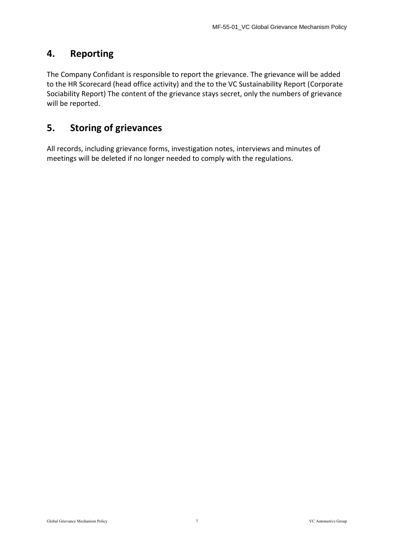## **4. Reporting**

The Company Confidant is responsible to report the grievance. The grievance will be added to the HR Scorecard (head office activity) and the to the VC Sustainability Report (Corporate Sociability Report) The content of the grievance stays secret, only the numbers of grievance will be reported.

## **5. Storing of grievances**

All records, including grievance forms, investigation notes, interviews and minutes of meetings will be deleted if no longer needed to comply with the regulations.